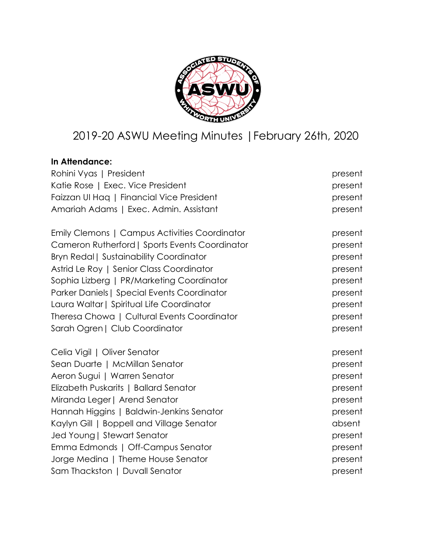

# 2019-20 ASWU Meeting Minutes |February 26th, 2020

# **In Attendance:**

| Rohini Vyas   President                        | present |
|------------------------------------------------|---------|
| Katie Rose   Exec. Vice President              | present |
| Faizzan UI Hag   Financial Vice President      | present |
| Amariah Adams   Exec. Admin. Assistant         | present |
| Emily Clemons   Campus Activities Coordinator  | present |
| Cameron Rutherford   Sports Events Coordinator | present |
| <b>Bryn Redal   Sustainability Coordinator</b> | present |
| Astrid Le Roy   Senior Class Coordinator       | present |
| Sophia Lizberg   PR/Marketing Coordinator      | present |
| Parker Daniels   Special Events Coordinator    | present |
| Laura Waltar   Spiritual Life Coordinator      | present |
| Theresa Chowa   Cultural Events Coordinator    | present |
| Sarah Ogren   Club Coordinator                 | present |
| Celia Vigil   Oliver Senator                   | present |
| Sean Duarte   McMillan Senator                 | present |
| Aeron Sugui   Warren Senator                   | present |
| Elizabeth Puskarits   Ballard Senator          | present |
| Miranda Leger   Arend Senator                  | present |
| Hannah Higgins   Baldwin-Jenkins Senator       | present |
| Kaylyn Gill   Boppell and Village Senator      | absent  |
| Jed Young   Stewart Senator                    | present |
| Emma Edmonds   Off-Campus Senator              | present |
| Jorge Medina   Theme House Senator             | present |
| Sam Thackston   Duvall Senator                 | present |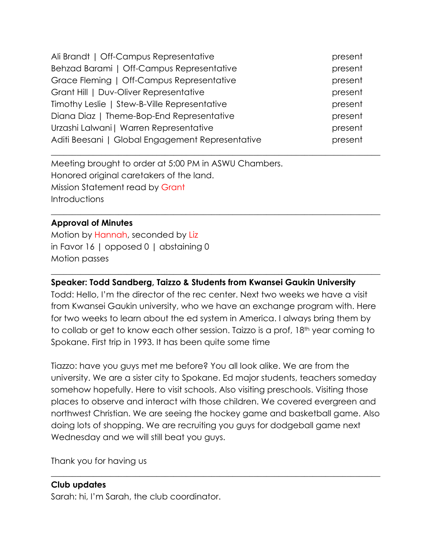| Ali Brandt   Off-Campus Representative           | present |
|--------------------------------------------------|---------|
| Behzad Barami   Off-Campus Representative        | present |
| Grace Fleming   Off-Campus Representative        | present |
| Grant Hill   Duv-Oliver Representative           | present |
| Timothy Leslie   Stew-B-Ville Representative     | present |
| Diana Diaz   Theme-Bop-End Representative        | present |
| Urzashi Lalwani   Warren Representative          | present |
| Aditi Beesani   Global Engagement Representative | present |

 $\_$  , and the set of the set of the set of the set of the set of the set of the set of the set of the set of the set of the set of the set of the set of the set of the set of the set of the set of the set of the set of th

 $\_$  , and the set of the set of the set of the set of the set of the set of the set of the set of the set of the set of the set of the set of the set of the set of the set of the set of the set of the set of the set of th

Meeting brought to order at 5:00 PM in ASWU Chambers. Honored original caretakers of the land. Mission Statement read by Grant **Introductions** 

#### **Approval of Minutes**

Motion by Hannah, seconded by Liz in Favor 16 | opposed 0 | abstaining 0 Motion passes

#### **Speaker: Todd Sandberg, Taizzo & Students from Kwansei Gaukin University**

Todd: Hello, I'm the director of the rec center. Next two weeks we have a visit from Kwansei Gaukin university, who we have an exchange program with. Here for two weeks to learn about the ed system in America. I always bring them by to collab or get to know each other session. Taizzo is a prof, 18th year coming to Spokane. First trip in 1993. It has been quite some time

 $\_$  , and the set of the set of the set of the set of the set of the set of the set of the set of the set of the set of the set of the set of the set of the set of the set of the set of the set of the set of the set of th

Tiazzo: have you guys met me before? You all look alike. We are from the university. We are a sister city to Spokane. Ed major students, teachers someday somehow hopefully. Here to visit schools. Also visiting preschools. Visiting those places to observe and interact with those children. We covered evergreen and northwest Christian. We are seeing the hockey game and basketball game. Also doing lots of shopping. We are recruiting you guys for dodgeball game next Wednesday and we will still beat you guys.

\_\_\_\_\_\_\_\_\_\_\_\_\_\_\_\_\_\_\_\_\_\_\_\_\_\_\_\_\_\_\_\_\_\_\_\_\_\_\_\_\_\_\_\_\_\_\_\_\_\_\_\_\_\_\_\_\_\_\_\_\_\_\_\_\_\_\_\_\_\_\_\_\_\_\_\_\_\_

Thank you for having us

#### **Club updates**

Sarah: hi, I'm Sarah, the club coordinator.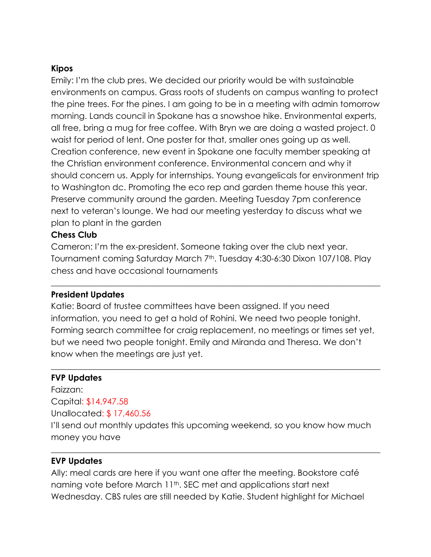### **Kipos**

Emily: I'm the club pres. We decided our priority would be with sustainable environments on campus. Grass roots of students on campus wanting to protect the pine trees. For the pines. I am going to be in a meeting with admin tomorrow morning. Lands council in Spokane has a snowshoe hike. Environmental experts, all free, bring a mug for free coffee. With Bryn we are doing a wasted project. 0 waist for period of lent. One poster for that, smaller ones going up as well. Creation conference, new event in Spokane one faculty member speaking at the Christian environment conference. Environmental concern and why it should concern us. Apply for internships. Young evangelicals for environment trip to Washington dc. Promoting the eco rep and garden theme house this year. Preserve community around the garden. Meeting Tuesday 7pm conference next to veteran's lounge. We had our meeting yesterday to discuss what we plan to plant in the garden

#### **Chess Club**

Cameron: I'm the ex-president. Someone taking over the club next year. Tournament coming Saturday March 7<sup>th</sup>. Tuesday 4:30-6:30 Dixon 107/108. Play chess and have occasional tournaments

 $\_$  , and the set of the set of the set of the set of the set of the set of the set of the set of the set of the set of the set of the set of the set of the set of the set of the set of the set of the set of the set of th

#### **President Updates**

Katie: Board of trustee committees have been assigned. If you need information, you need to get a hold of Rohini. We need two people tonight. Forming search committee for craig replacement, no meetings or times set yet, but we need two people tonight. Emily and Miranda and Theresa. We don't know when the meetings are just yet.

 $\_$  , and the set of the set of the set of the set of the set of the set of the set of the set of the set of the set of the set of the set of the set of the set of the set of the set of the set of the set of the set of th

#### **FVP Updates**

Faizzan: Capital: \$14,947.58 Unallocated: \$ 17,460.56 I'll send out monthly updates this upcoming weekend, so you know how much money you have

 $\_$  , and the set of the set of the set of the set of the set of the set of the set of the set of the set of the set of the set of the set of the set of the set of the set of the set of the set of the set of the set of th

#### **EVP Updates**

Ally: meal cards are here if you want one after the meeting. Bookstore café naming vote before March 11<sup>th</sup>. SEC met and applications start next Wednesday. CBS rules are still needed by Katie. Student highlight for Michael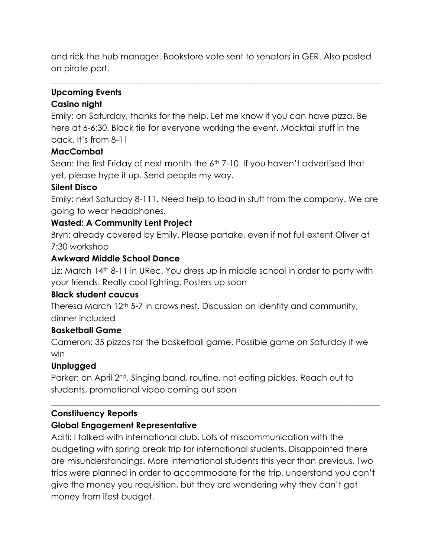and rick the hub manager. Bookstore vote sent to senators in GER. Also posted on pirate port.

 $\_$  , and the set of the set of the set of the set of the set of the set of the set of the set of the set of the set of the set of the set of the set of the set of the set of the set of the set of the set of the set of th

#### **Upcoming Events**

## **Casino night**

Emily: on Saturday, thanks for the help. Let me know if you can have pizza. Be here at 6-6:30. Black tie for everyone working the event. Mocktail stuff in the back. It's from 8-11

### **MacCombat**

Sean: the first Friday of next month the 6th 7-10. If you haven't advertised that yet, please hype it up. Send people my way.

### **Silent Disco**

Emily: next Saturday 8-111. Need help to load in stuff from the company. We are going to wear headphones.

## **Wasted: A Community Lent Project**

Bryn: already covered by Emily. Please partake, even if not full extent Oliver at 7:30 workshop

## **Awkward Middle School Dance**

Liz: March 14<sup>th</sup> 8-11 in URec. You dress up in middle school in order to party with your friends. Really cool lighting. Posters up soon

## **Black student caucus**

Theresa March 12<sup>th</sup> 5-7 in crows nest. Discussion on identity and community, dinner included

## **Basketball Game**

Cameron: 35 pizzas for the basketball game. Possible game on Saturday if we win

## **Unplugged**

Parker: on April 2<sup>nd</sup>. Singing band, routine, not eating pickles. Reach out to students, promotional video coming out soon

## **Constituency Reports**

## **Global Engagement Representative**

Aditi: I talked with international club. Lots of miscommunication with the budgeting with spring break trip for international students. Disappointed there are misunderstandings. More international students this year than previous. Two trips were planned in order to accommodate for the trip, understand you can't give the money you requisition, but they are wondering why they can't get money from ifest budget.

 $\_$  , and the set of the set of the set of the set of the set of the set of the set of the set of the set of the set of the set of the set of the set of the set of the set of the set of the set of the set of the set of th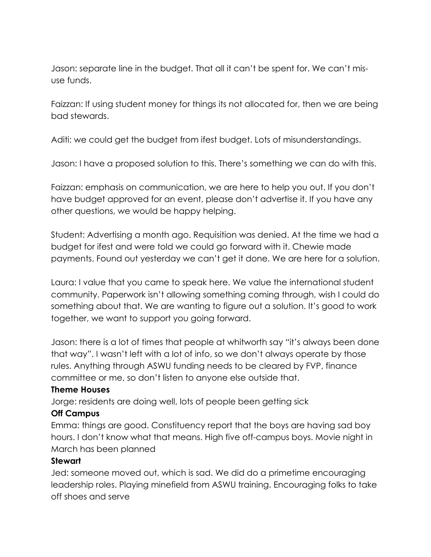Jason: separate line in the budget. That all it can't be spent for. We can't misuse funds.

Faizzan: If using student money for things its not allocated for, then we are being bad stewards.

Aditi: we could get the budget from ifest budget. Lots of misunderstandings.

Jason: I have a proposed solution to this. There's something we can do with this.

Faizzan: emphasis on communication, we are here to help you out. If you don't have budget approved for an event, please don't advertise it. If you have any other questions, we would be happy helping.

Student: Advertising a month ago. Requisition was denied. At the time we had a budget for ifest and were told we could go forward with it. Chewie made payments. Found out yesterday we can't get it done. We are here for a solution.

Laura: I value that you came to speak here. We value the international student community. Paperwork isn't allowing something coming through, wish I could do something about that. We are wanting to figure out a solution. It's good to work together, we want to support you going forward.

Jason: there is a lot of times that people at whitworth say "it's always been done that way". I wasn't left with a lot of info, so we don't always operate by those rules. Anything through ASWU funding needs to be cleared by FVP, finance committee or me, so don't listen to anyone else outside that.

#### **Theme Houses**

Jorge: residents are doing well, lots of people been getting sick

## **Off Campus**

Emma: things are good. Constituency report that the boys are having sad boy hours. I don't know what that means. High five off-campus boys. Movie night in March has been planned

#### **Stewart**

Jed: someone moved out, which is sad. We did do a primetime encouraging leadership roles. Playing minefield from ASWU training. Encouraging folks to take off shoes and serve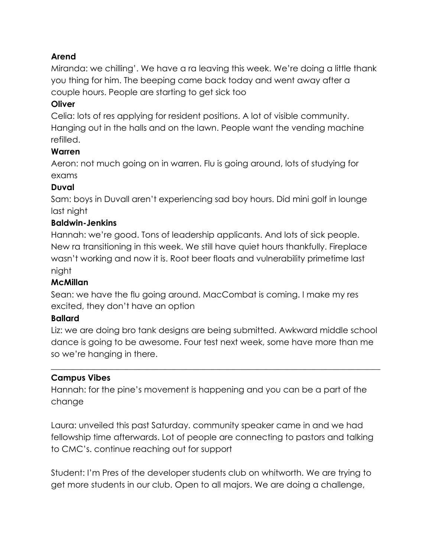## **Arend**

Miranda: we chilling'. We have a ra leaving this week. We're doing a little thank you thing for him. The beeping came back today and went away after a couple hours. People are starting to get sick too

## **Oliver**

Celia: lots of res applying for resident positions. A lot of visible community. Hanging out in the halls and on the lawn. People want the vending machine refilled.

### **Warren**

Aeron: not much going on in warren. Flu is going around, lots of studying for exams

### **Duval**

Sam: boys in Duvall aren't experiencing sad boy hours. Did mini golf in lounge last night

## **Baldwin-Jenkins**

Hannah: we're good. Tons of leadership applicants. And lots of sick people. New ra transitioning in this week. We still have quiet hours thankfully. Fireplace wasn't working and now it is. Root beer floats and vulnerability primetime last night

#### **McMillan**

Sean: we have the flu going around. MacCombat is coming. I make my res excited, they don't have an option

#### **Ballard**

Liz: we are doing bro tank designs are being submitted. Awkward middle school dance is going to be awesome. Four test next week, some have more than me so we're hanging in there.

 $\_$  , and the set of the set of the set of the set of the set of the set of the set of the set of the set of the set of the set of the set of the set of the set of the set of the set of the set of the set of the set of th

#### **Campus Vibes**

Hannah: for the pine's movement is happening and you can be a part of the change

Laura: unveiled this past Saturday. community speaker came in and we had fellowship time afterwards. Lot of people are connecting to pastors and talking to CMC's. continue reaching out for support

Student: I'm Pres of the developer students club on whitworth. We are trying to get more students in our club. Open to all majors. We are doing a challenge,